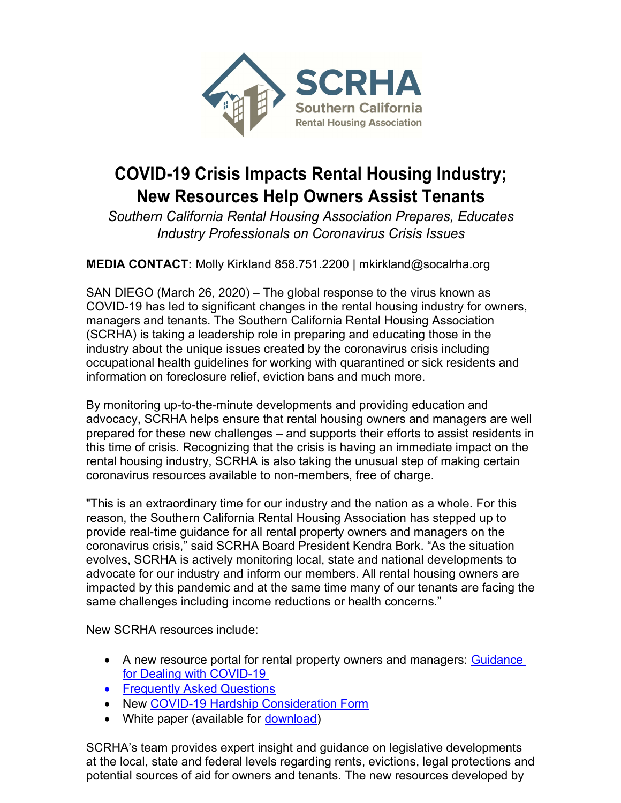

## COVID-19 Crisis Impacts Rental Housing Industry; New Resources Help Owners Assist Tenants

Southern California Rental Housing Association Prepares, Educates Industry Professionals on Coronavirus Crisis Issues

MEDIA CONTACT: Molly Kirkland 858.751.2200 | mkirkland@socalrha.org

SAN DIEGO (March 26, 2020) – The global response to the virus known as COVID-19 has led to significant changes in the rental housing industry for owners, managers and tenants. The Southern California Rental Housing Association (SCRHA) is taking a leadership role in preparing and educating those in the industry about the unique issues created by the coronavirus crisis including occupational health guidelines for working with quarantined or sick residents and information on foreclosure relief, eviction bans and much more.

By monitoring up-to-the-minute developments and providing education and advocacy, SCRHA helps ensure that rental housing owners and managers are well prepared for these new challenges – and supports their efforts to assist residents in this time of crisis. Recognizing that the crisis is having an immediate impact on the rental housing industry, SCRHA is also taking the unusual step of making certain coronavirus resources available to non-members, free of charge.

"This is an extraordinary time for our industry and the nation as a whole. For this reason, the Southern California Rental Housing Association has stepped up to provide real-time guidance for all rental property owners and managers on the coronavirus crisis," said SCRHA Board President Kendra Bork. "As the situation evolves, SCRHA is actively monitoring local, state and national developments to advocate for our industry and inform our members. All rental housing owners are impacted by this pandemic and at the same time many of our tenants are facing the same challenges including income reductions or health concerns."

New SCRHA resources include:

- A new resource portal for rental property owners and managers: Guidance for Dealing with COVID-19
- **•** Frequently Asked Questions
- New COVID-19 Hardship Consideration Form
- White paper (available for download)

SCRHA's team provides expert insight and guidance on legislative developments at the local, state and federal levels regarding rents, evictions, legal protections and potential sources of aid for owners and tenants. The new resources developed by